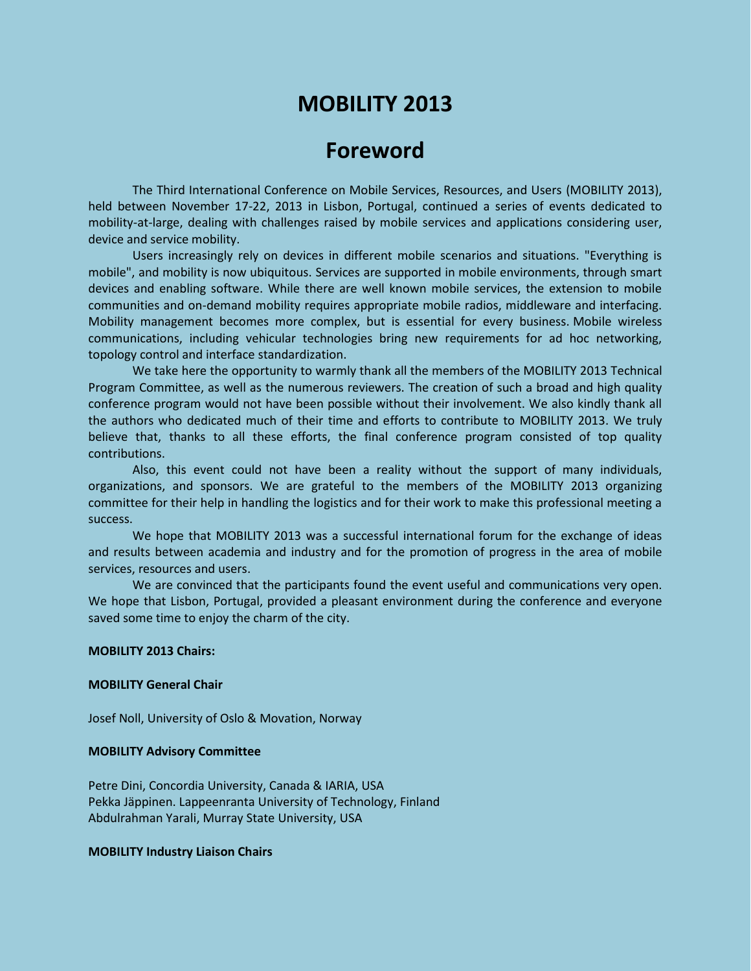# **MOBILITY 2013**

## **Foreword**

The Third International Conference on Mobile Services, Resources, and Users (MOBILITY 2013), held between November 17-22, 2013 in Lisbon, Portugal, continued a series of events dedicated to mobility-at-large, dealing with challenges raised by mobile services and applications considering user, device and service mobility.

Users increasingly rely on devices in different mobile scenarios and situations. "Everything is mobile", and mobility is now ubiquitous. Services are supported in mobile environments, through smart devices and enabling software. While there are well known mobile services, the extension to mobile communities and on-demand mobility requires appropriate mobile radios, middleware and interfacing. Mobility management becomes more complex, but is essential for every business. Mobile wireless communications, including vehicular technologies bring new requirements for ad hoc networking, topology control and interface standardization.

We take here the opportunity to warmly thank all the members of the MOBILITY 2013 Technical Program Committee, as well as the numerous reviewers. The creation of such a broad and high quality conference program would not have been possible without their involvement. We also kindly thank all the authors who dedicated much of their time and efforts to contribute to MOBILITY 2013. We truly believe that, thanks to all these efforts, the final conference program consisted of top quality contributions.

Also, this event could not have been a reality without the support of many individuals, organizations, and sponsors. We are grateful to the members of the MOBILITY 2013 organizing committee for their help in handling the logistics and for their work to make this professional meeting a success.

We hope that MOBILITY 2013 was a successful international forum for the exchange of ideas and results between academia and industry and for the promotion of progress in the area of mobile services, resources and users.

We are convinced that the participants found the event useful and communications very open. We hope that Lisbon, Portugal, provided a pleasant environment during the conference and everyone saved some time to enjoy the charm of the city.

#### **MOBILITY 2013 Chairs:**

#### **MOBILITY General Chair**

Josef Noll, University of Oslo & Movation, Norway

#### **MOBILITY Advisory Committee**

Petre Dini, Concordia University, Canada & IARIA, USA Pekka Jäppinen. Lappeenranta University of Technology, Finland Abdulrahman Yarali, Murray State University, USA

#### **MOBILITY Industry Liaison Chairs**